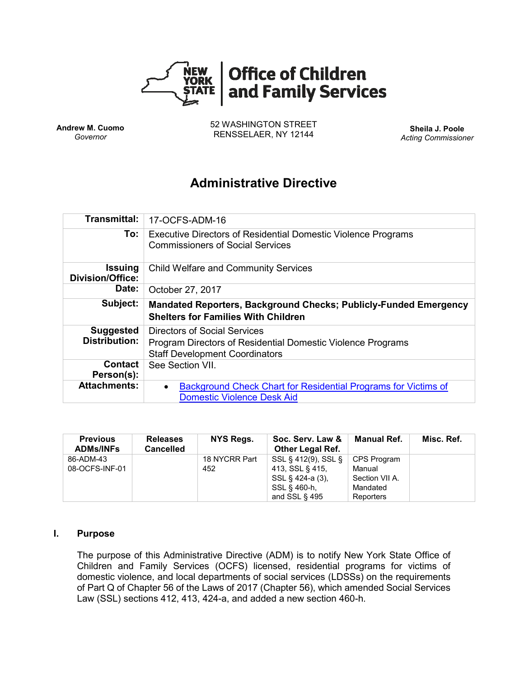

**Andrew M. Cuomo** *Governor*

52 WASHINGTON STREET RENSSELAER, NY 12144 **Sheila J. Poole**

*Acting Commissioner*

# **Administrative Directive**

| <b>Transmittal:</b>                       | 17-OCFS-ADM-16                                                                                                                              |
|-------------------------------------------|---------------------------------------------------------------------------------------------------------------------------------------------|
| To:                                       | <b>Executive Directors of Residential Domestic Violence Programs</b><br><b>Commissioners of Social Services</b>                             |
| <b>Issuing</b><br><b>Division/Office:</b> | <b>Child Welfare and Community Services</b>                                                                                                 |
| Date:                                     | October 27, 2017                                                                                                                            |
| Subject:                                  | <b>Mandated Reporters, Background Checks; Publicly-Funded Emergency</b><br><b>Shelters for Families With Children</b>                       |
| <b>Suggested</b><br><b>Distribution:</b>  | <b>Directors of Social Services</b><br>Program Directors of Residential Domestic Violence Programs<br><b>Staff Development Coordinators</b> |
| <b>Contact</b><br>Person(s):              | See Section VII.                                                                                                                            |
| <b>Attachments:</b>                       |                                                                                                                                             |

| <b>Previous</b><br><b>ADMs/INFs</b> | <b>Releases</b><br><b>Cancelled</b> | NYS Regs.     | Soc. Serv. Law &<br><b>Other Legal Ref.</b> | Manual Ref.    | Misc. Ref. |
|-------------------------------------|-------------------------------------|---------------|---------------------------------------------|----------------|------------|
| 86-ADM-43                           |                                     | 18 NYCRR Part | SSL § 412(9), SSL §                         | CPS Program    |            |
| 08-OCFS-INF-01                      |                                     | 452           | 413, SSL § 415,                             | Manual         |            |
|                                     |                                     |               | SSL § 424-a (3).                            | Section VII A. |            |
|                                     |                                     |               | SSL § 460-h.                                | Mandated       |            |
|                                     |                                     |               | and SSL $\S$ 495                            | Reporters      |            |

## **I. Purpose**

The purpose of this Administrative Directive (ADM) is to notify New York State Office of Children and Family Services (OCFS) licensed, residential programs for victims of domestic violence, and local departments of social services (LDSSs) on the requirements of Part Q of Chapter 56 of the Laws of 2017 (Chapter 56), which amended Social Services Law (SSL) sections 412, 413, 424-a, and added a new section 460-h.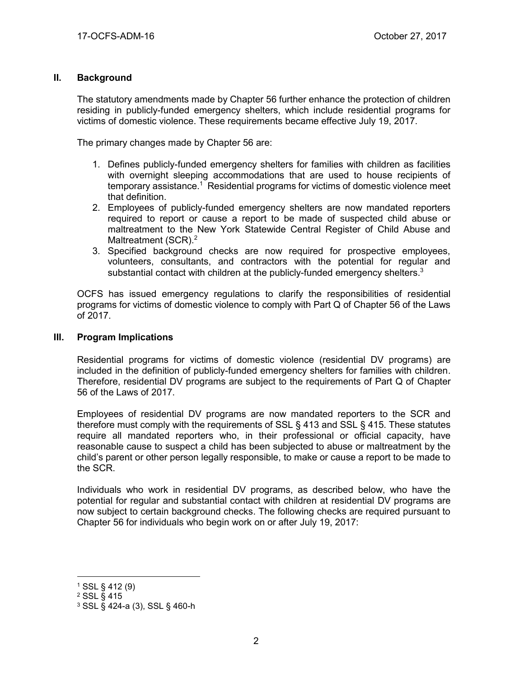## **II. Background**

The statutory amendments made by Chapter 56 further enhance the protection of children residing in publicly-funded emergency shelters, which include residential programs for victims of domestic violence. These requirements became effective July 19, 2017.

The primary changes made by Chapter 56 are:

- 1. Defines publicly-funded emergency shelters for families with children as facilities with overnight sleeping accommodations that are used to house recipients of temporary assistance.<sup>1</sup> Residential programs for victims of domestic violence meet that definition.
- 2. Employees of publicly-funded emergency shelters are now mandated reporters required to report or cause a report to be made of suspected child abuse or maltreatment to the New York Statewide Central Register of Child Abuse and Maltreatment (SCR).<sup>2</sup>
- 3. Specified background checks are now required for prospective employees, volunteers, consultants, and contractors with the potential for regular and substantial contact with children at the publicly-funded emergency shelters. $3$

OCFS has issued emergency regulations to clarify the responsibilities of residential programs for victims of domestic violence to comply with Part Q of Chapter 56 of the Laws of 2017.

## **III. Program Implications**

Residential programs for victims of domestic violence (residential DV programs) are included in the definition of publicly-funded emergency shelters for families with children. Therefore, residential DV programs are subject to the requirements of Part Q of Chapter 56 of the Laws of 2017.

Employees of residential DV programs are now mandated reporters to the SCR and therefore must comply with the requirements of SSL § 413 and SSL § 415. These statutes require all mandated reporters who, in their professional or official capacity, have reasonable cause to suspect a child has been subjected to abuse or maltreatment by the child's parent or other person legally responsible, to make or cause a report to be made to the SCR.

Individuals who work in residential DV programs, as described below, who have the potential for regular and substantial contact with children at residential DV programs are now subject to certain background checks. The following checks are required pursuant to Chapter 56 for individuals who begin work on or after July 19, 2017:

<sup>1</sup> SSL § 412 (9)

<sup>2</sup> SSL § 415

<sup>3</sup> SSL § 424-a (3), SSL § 460-h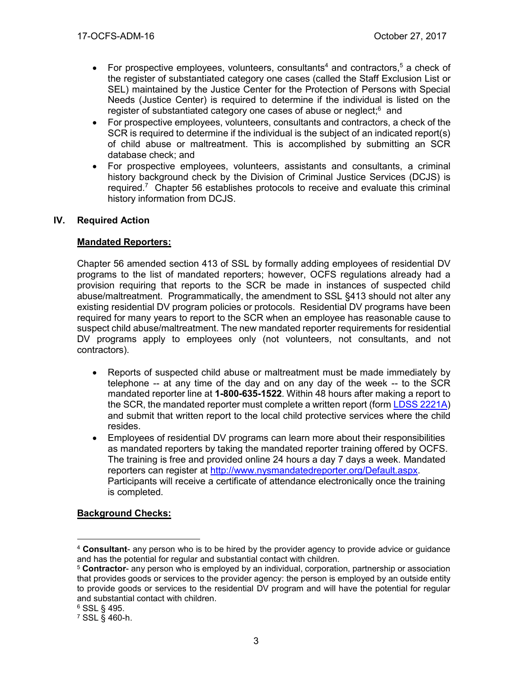- For prospective employees, volunteers, consultants<sup>4</sup> and contractors,<sup>5</sup> a check of the register of substantiated category one cases (called the Staff Exclusion List or SEL) maintained by the Justice Center for the Protection of Persons with Special Needs (Justice Center) is required to determine if the individual is listed on the register of substantiated category one cases of abuse or neglect;<sup>6</sup> and
- For prospective employees, volunteers, consultants and contractors, a check of the SCR is required to determine if the individual is the subject of an indicated report(s) of child abuse or maltreatment. This is accomplished by submitting an SCR database check; and
- For prospective employees, volunteers, assistants and consultants, a criminal history background check by the Division of Criminal Justice Services (DCJS) is required.<sup>7</sup> Chapter 56 establishes protocols to receive and evaluate this criminal history information from DCJS.

## **IV. Required Action**

## **Mandated Reporters:**

Chapter 56 amended section 413 of SSL by formally adding employees of residential DV programs to the list of mandated reporters; however, OCFS regulations already had a provision requiring that reports to the SCR be made in instances of suspected child abuse/maltreatment. Programmatically, the amendment to SSL §413 should not alter any existing residential DV program policies or protocols. Residential DV programs have been required for many years to report to the SCR when an employee has reasonable cause to suspect child abuse/maltreatment. The new mandated reporter requirements for residential DV programs apply to employees only (not volunteers, not consultants, and not contractors).

- Reports of suspected child abuse or maltreatment must be made immediately by telephone -- at any time of the day and on any day of the week -- to the SCR mandated reporter line at **1-800-635-1522**. Within 48 hours after making a report to the SCR, the mandated reporter must complete a written report (for[m LDSS 2221A\)](http://ocfs.state.nyenet/admin/forms/SCR/word2000/LDSS-2221A%20Report%20of%20Suspected%20Child%20Abuse%20or%20Maltreatment.dot) and submit that written report to the local child protective services where the child resides.
- Employees of residential DV programs can learn more about their responsibilities as mandated reporters by taking the mandated reporter training offered by OCFS. The training is free and provided online 24 hours a day 7 days a week. Mandated reporters can register at [http://www.nysmandatedreporter.org/Default.aspx.](http://www.nysmandatedreporter.org/Default.aspx) Participants will receive a certificate of attendance electronically once the training is completed.

## **Background Checks:**

<sup>4</sup> **Consultant**- any person who is to be hired by the provider agency to provide advice or guidance and has the potential for regular and substantial contact with children.

<sup>5</sup> **Contractor**- any person who is employed by an individual, corporation, partnership or association that provides goods or services to the provider agency: the person is employed by an outside entity to provide goods or services to the residential DV program and will have the potential for regular and substantial contact with children.

<sup>6</sup> SSL § 495.

<sup>7</sup> SSL § 460-h.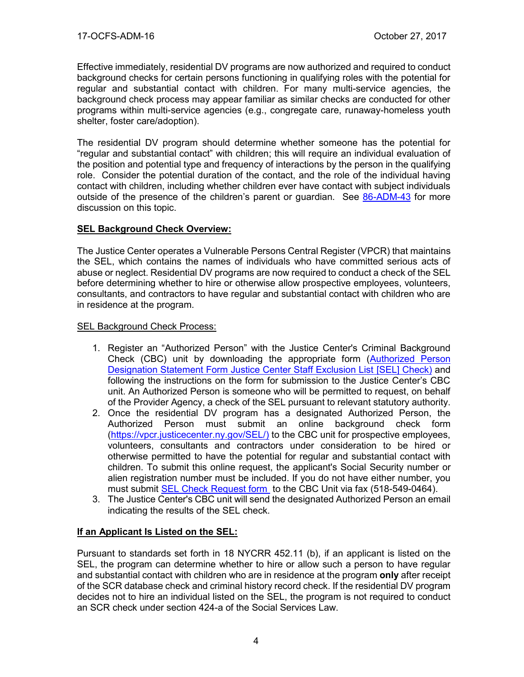Effective immediately, residential DV programs are now authorized and required to conduct background checks for certain persons functioning in qualifying roles with the potential for regular and substantial contact with children. For many multi-service agencies, the background check process may appear familiar as similar checks are conducted for other programs within multi-service agencies (e.g., congregate care, runaway-homeless youth shelter, foster care/adoption).

The residential DV program should determine whether someone has the potential for "regular and substantial contact" with children; this will require an individual evaluation of the position and potential type and frequency of interactions by the person in the qualifying role. Consider the potential duration of the contact, and the role of the individual having contact with children, including whether children ever have contact with subject individuals outside of the presence of the children's parent or guardian. See [86-ADM-43](http://ocfs.ny.gov/main/policies/external/1986/ADMs/1986%20ADM-43%20Reviews%20and%20Evaluations%20Pursuant%20to%20the%20Child%20Abuse%20Prevention%20of%201985.pdf) for more discussion on this topic.

## **SEL Background Check Overview:**

The Justice Center operates a Vulnerable Persons Central Register (VPCR) that maintains the SEL, which contains the names of individuals who have committed serious acts of abuse or neglect. Residential DV programs are now required to conduct a check of the SEL before determining whether to hire or otherwise allow prospective employees, volunteers, consultants, and contractors to have regular and substantial contact with children who are in residence at the program.

## SEL Background Check Process:

- 1. Register an "Authorized Person" with the Justice Center's Criminal Background Check (CBC) unit by downloading the appropriate form [\(Authorized Person](https://www.justicecenter.ny.gov/node/172)  [Designation Statement Form Justice Center Staff Exclusion List \[SEL\]](https://www.justicecenter.ny.gov/node/172) Check) and following the instructions on the form for submission to the Justice Center's CBC unit. An Authorized Person is someone who will be permitted to request, on behalf of the Provider Agency, a check of the SEL pursuant to relevant statutory authority.
- 2. Once the residential DV program has a designated Authorized Person, the Authorized Person must submit an online background check form [\(https://vpcr.justicecenter.ny.gov/SEL/\)](https://vpcr.justicecenter.ny.gov/SEL/) to the CBC unit for prospective employees, volunteers, consultants and contractors under consideration to be hired or otherwise permitted to have the potential for regular and substantial contact with children. To submit this online request, the applicant's Social Security number or alien registration number must be included. If you do not have either number, you must submit [SEL Check Request form](http://www.justicecenter.ny.gov/investigations-prosecution/sel/management/forms/apdssf-jcselc) to the CBC Unit via fax (518-549-0464).
- 3. The Justice Center's CBC unit will send the designated Authorized Person an email indicating the results of the SEL check.

## **If an Applicant Is Listed on the SEL:**

Pursuant to standards set forth in 18 NYCRR 452.11 (b), if an applicant is listed on the SEL, the program can determine whether to hire or allow such a person to have regular and substantial contact with children who are in residence at the program **only** after receipt of the SCR database check and criminal history record check. If the residential DV program decides not to hire an individual listed on the SEL, the program is not required to conduct an SCR check under section 424-a of the Social Services Law.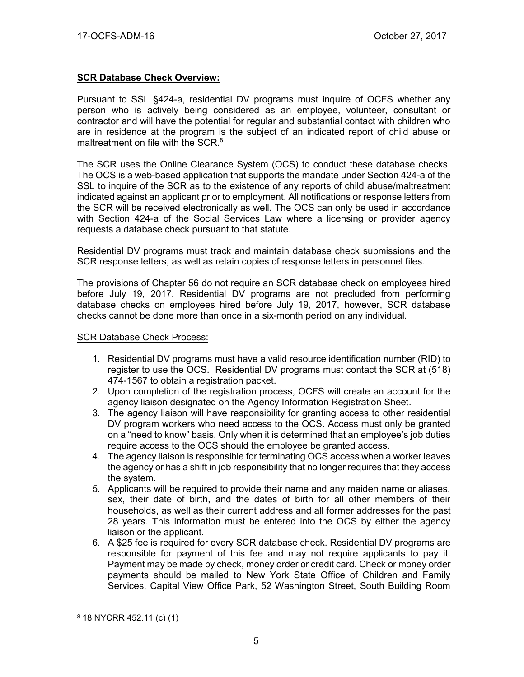# **SCR Database Check Overview:**

Pursuant to SSL §424-a, residential DV programs must inquire of OCFS whether any person who is actively being considered as an employee, volunteer, consultant or contractor and will have the potential for regular and substantial contact with children who are in residence at the program is the subject of an indicated report of child abuse or maltreatment on file with the SCR.<sup>8</sup>

The SCR uses the Online Clearance System (OCS) to conduct these database checks. The OCS is a web-based application that supports the mandate under Section 424-a of the SSL to inquire of the SCR as to the existence of any reports of child abuse/maltreatment indicated against an applicant prior to employment. All notifications or response letters from the SCR will be received electronically as well. The OCS can only be used in accordance with Section 424-a of the Social Services Law where a licensing or provider agency requests a database check pursuant to that statute.

Residential DV programs must track and maintain database check submissions and the SCR response letters, as well as retain copies of response letters in personnel files.

The provisions of Chapter 56 do not require an SCR database check on employees hired before July 19, 2017. Residential DV programs are not precluded from performing database checks on employees hired before July 19, 2017, however, SCR database checks cannot be done more than once in a six-month period on any individual.

#### SCR Database Check Process:

- 1. Residential DV programs must have a valid resource identification number (RID) to register to use the OCS. Residential DV programs must contact the SCR at (518) 474-1567 to obtain a registration packet.
- 2. Upon completion of the registration process, OCFS will create an account for the agency liaison designated on the Agency Information Registration Sheet.
- 3. The agency liaison will have responsibility for granting access to other residential DV program workers who need access to the OCS. Access must only be granted on a "need to know" basis. Only when it is determined that an employee's job duties require access to the OCS should the employee be granted access.
- 4. The agency liaison is responsible for terminating OCS access when a worker leaves the agency or has a shift in job responsibility that no longer requires that they access the system.
- 5. Applicants will be required to provide their name and any maiden name or aliases, sex, their date of birth, and the dates of birth for all other members of their households, as well as their current address and all former addresses for the past 28 years. This information must be entered into the OCS by either the agency liaison or the applicant.
- 6. A \$25 fee is required for every SCR database check. Residential DV programs are responsible for payment of this fee and may not require applicants to pay it. Payment may be made by check, money order or credit card. Check or money order payments should be mailed to New York State Office of Children and Family Services, Capital View Office Park, 52 Washington Street, South Building Room

<sup>8</sup> 18 NYCRR 452.11 (c) (1)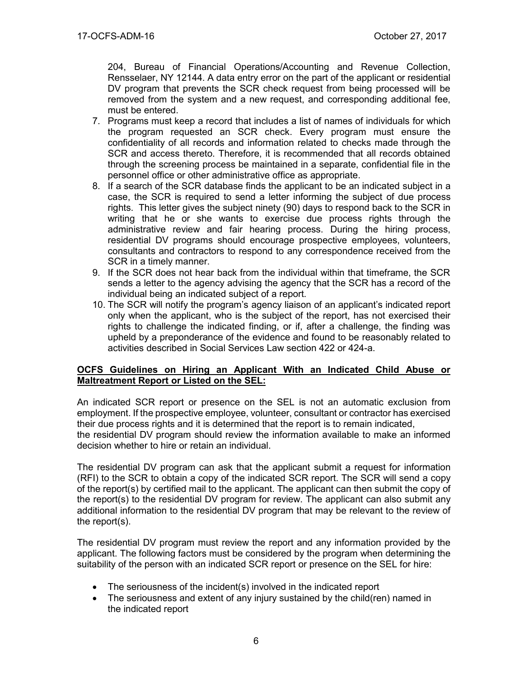204, Bureau of Financial Operations/Accounting and Revenue Collection, Rensselaer, NY 12144. A data entry error on the part of the applicant or residential DV program that prevents the SCR check request from being processed will be removed from the system and a new request, and corresponding additional fee, must be entered.

- 7. Programs must keep a record that includes a list of names of individuals for which the program requested an SCR check. Every program must ensure the confidentiality of all records and information related to checks made through the SCR and access thereto. Therefore, it is recommended that all records obtained through the screening process be maintained in a separate, confidential file in the personnel office or other administrative office as appropriate.
- 8. If a search of the SCR database finds the applicant to be an indicated subject in a case, the SCR is required to send a letter informing the subject of due process rights. This letter gives the subject ninety (90) days to respond back to the SCR in writing that he or she wants to exercise due process rights through the administrative review and fair hearing process. During the hiring process, residential DV programs should encourage prospective employees, volunteers, consultants and contractors to respond to any correspondence received from the SCR in a timely manner.
- 9. If the SCR does not hear back from the individual within that timeframe, the SCR sends a letter to the agency advising the agency that the SCR has a record of the individual being an indicated subject of a report.
- 10. The SCR will notify the program's agency liaison of an applicant's indicated report only when the applicant, who is the subject of the report, has not exercised their rights to challenge the indicated finding, or if, after a challenge, the finding was upheld by a preponderance of the evidence and found to be reasonably related to activities described in Social Services Law section 422 or 424-a.

## **OCFS Guidelines on Hiring an Applicant With an Indicated Child Abuse or Maltreatment Report or Listed on the SEL:**

An indicated SCR report or presence on the SEL is not an automatic exclusion from employment. If the prospective employee, volunteer, consultant or contractor has exercised their due process rights and it is determined that the report is to remain indicated, the residential DV program should review the information available to make an informed decision whether to hire or retain an individual.

The residential DV program can ask that the applicant submit a request for information (RFI) to the SCR to obtain a copy of the indicated SCR report. The SCR will send a copy of the report(s) by certified mail to the applicant. The applicant can then submit the copy of the report(s) to the residential DV program for review. The applicant can also submit any additional information to the residential DV program that may be relevant to the review of the report(s).

The residential DV program must review the report and any information provided by the applicant. The following factors must be considered by the program when determining the suitability of the person with an indicated SCR report or presence on the SEL for hire:

- The seriousness of the incident(s) involved in the indicated report
- The seriousness and extent of any injury sustained by the child(ren) named in the indicated report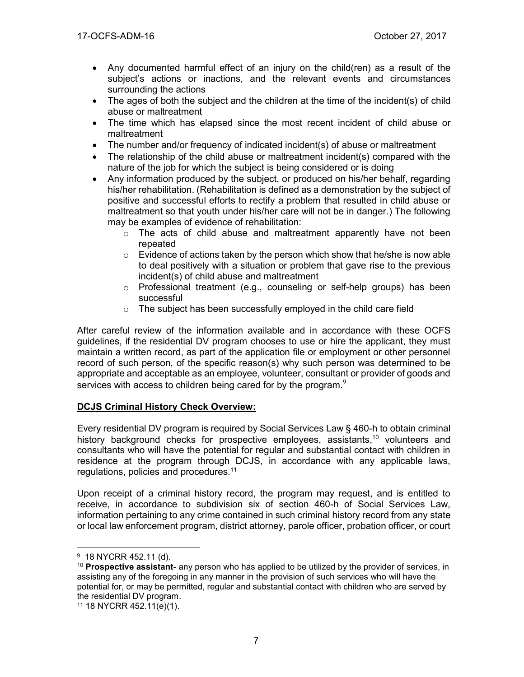- Any documented harmful effect of an injury on the child(ren) as a result of the subject's actions or inactions, and the relevant events and circumstances surrounding the actions
- The ages of both the subject and the children at the time of the incident(s) of child abuse or maltreatment
- The time which has elapsed since the most recent incident of child abuse or maltreatment
- The number and/or frequency of indicated incident(s) of abuse or maltreatment
- The relationship of the child abuse or maltreatment incident(s) compared with the nature of the job for which the subject is being considered or is doing
- Any information produced by the subject, or produced on his/her behalf, regarding his/her rehabilitation. (Rehabilitation is defined as a demonstration by the subject of positive and successful efforts to rectify a problem that resulted in child abuse or maltreatment so that youth under his/her care will not be in danger.) The following may be examples of evidence of rehabilitation:
	- $\circ$  The acts of child abuse and maltreatment apparently have not been repeated
	- $\circ$  Evidence of actions taken by the person which show that he/she is now able to deal positively with a situation or problem that gave rise to the previous incident(s) of child abuse and maltreatment
	- $\circ$  Professional treatment (e.g., counseling or self-help groups) has been successful
	- $\circ$  The subject has been successfully employed in the child care field

After careful review of the information available and in accordance with these OCFS guidelines, if the residential DV program chooses to use or hire the applicant, they must maintain a written record, as part of the application file or employment or other personnel record of such person, of the specific reason(s) why such person was determined to be appropriate and acceptable as an employee, volunteer, consultant or provider of goods and services with access to children being cared for by the program. $9$ 

# **DCJS Criminal History Check Overview:**

Every residential DV program is required by Social Services Law § 460-h to obtain criminal history background checks for prospective employees, assistants,<sup>10</sup> volunteers and consultants who will have the potential for regular and substantial contact with children in residence at the program through DCJS, in accordance with any applicable laws, regulations, policies and procedures.<sup>11</sup>

Upon receipt of a criminal history record, the program may request, and is entitled to receive, in accordance to subdivision six of section 460-h of Social Services Law, information pertaining to any crime contained in such criminal history record from any state or local law enforcement program, district attorney, parole officer, probation officer, or court

<sup>&</sup>lt;sup>9</sup> 18 NYCRR 452.11 (d).

<sup>10</sup> **Prospective assistant**- any person who has applied to be utilized by the provider of services, in assisting any of the foregoing in any manner in the provision of such services who will have the potential for, or may be permitted, regular and substantial contact with children who are served by the residential DV program.

<sup>11</sup> 18 NYCRR 452.11(e)(1).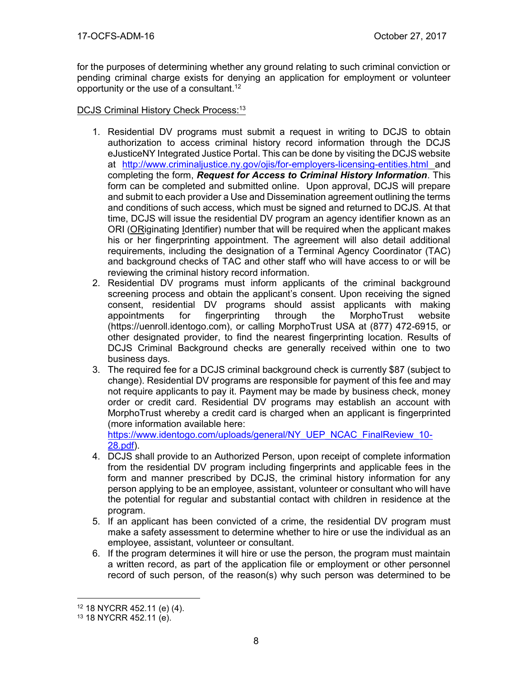for the purposes of determining whether any ground relating to such criminal conviction or pending criminal charge exists for denying an application for employment or volunteer opportunity or the use of a consultant.<sup>12</sup>

# DCJS Criminal History Check Process:<sup>13</sup>

- 1. Residential DV programs must submit a request in writing to DCJS to obtain authorization to access criminal history record information through the DCJS eJusticeNY Integrated Justice Portal. This can be done by visiting the DCJS website at <http://www.criminaljustice.ny.gov/ojis/for-employers-licensing-entities.html> and completing the form, *Request for Access to Criminal History Information*. This form can be completed and submitted online. Upon approval, DCJS will prepare and submit to each provider a Use and Dissemination agreement outlining the terms and conditions of such access, which must be signed and returned to DCJS. At that time, DCJS will issue the residential DV program an agency identifier known as an ORI (ORiginating Identifier) number that will be required when the applicant makes his or her fingerprinting appointment. The agreement will also detail additional requirements, including the designation of a Terminal Agency Coordinator (TAC) and background checks of TAC and other staff who will have access to or will be reviewing the criminal history record information.
- 2. Residential DV programs must inform applicants of the criminal background screening process and obtain the applicant's consent. Upon receiving the signed consent, residential DV programs should assist applicants with making appointments for fingerprinting through the MorphoTrust website (https://uenroll.identogo.com), or calling MorphoTrust USA at (877) 472-6915, or other designated provider, to find the nearest fingerprinting location. Results of DCJS Criminal Background checks are generally received within one to two business days.
- 3. The required fee for a DCJS criminal background check is currently \$87 (subject to change). Residential DV programs are responsible for payment of this fee and may not require applicants to pay it. Payment may be made by business check, money order or credit card. Residential DV programs may establish an account with MorphoTrust whereby a credit card is charged when an applicant is fingerprinted (more information available here:

[https://www.identogo.com/uploads/general/NY\\_UEP\\_NCAC\\_FinalReview\\_10-](https://www.identogo.com/uploads/general/NY_UEP_NCAC_FinalReview_10-28.pdf) [28.pdf\)](https://www.identogo.com/uploads/general/NY_UEP_NCAC_FinalReview_10-28.pdf).

- 4. DCJS shall provide to an Authorized Person, upon receipt of complete information from the residential DV program including fingerprints and applicable fees in the form and manner prescribed by DCJS, the criminal history information for any person applying to be an employee, assistant, volunteer or consultant who will have the potential for regular and substantial contact with children in residence at the program.
- 5. If an applicant has been convicted of a crime, the residential DV program must make a safety assessment to determine whether to hire or use the individual as an employee, assistant, volunteer or consultant.
- 6. If the program determines it will hire or use the person, the program must maintain a written record, as part of the application file or employment or other personnel record of such person, of the reason(s) why such person was determined to be

 $\overline{a}$ <sup>12</sup> 18 NYCRR 452.11 (e) (4).

<sup>13</sup> 18 NYCRR 452.11 (e).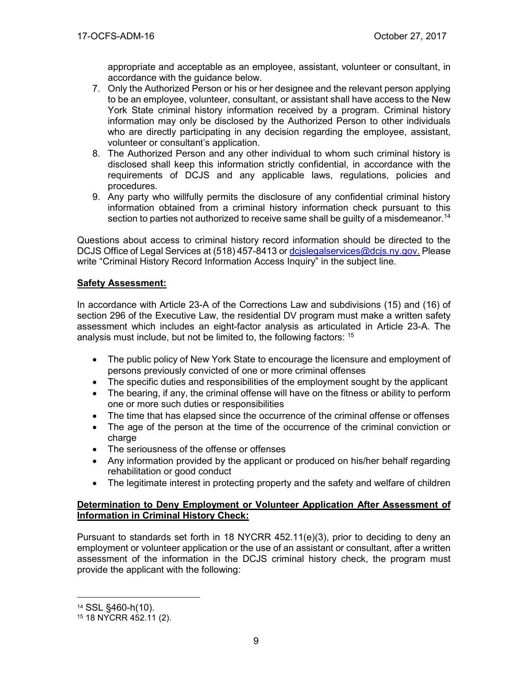appropriate and acceptable as an employee, assistant, volunteer or consultant, in accordance with the guidance below.

- 7. Only the Authorized Person or his or her designee and the relevant person applying to be an employee, volunteer, consultant, or assistant shall have access to the New York State criminal history information received by a program. Criminal history information may only be disclosed by the Authorized Person to other individuals who are directly participating in any decision regarding the employee, assistant, volunteer or consultant's application.
- 8. The Authorized Person and any other individual to whom such criminal history is disclosed shall keep this information strictly confidential, in accordance with the requirements of DCJS and any applicable laws, regulations, policies and procedures.
- 9. Any party who willfully permits the disclosure of any confidential criminal history information obtained from a criminal history information check pursuant to this section to parties not authorized to receive same shall be quilty of a misdemeanor.<sup>14</sup>

Questions about access to criminal history record information should be directed to the DCJS Office of Legal Services at (518) 457-8413 or [dcjslegalservices@dcjs.ny.gov.](mailto:dcjslegalservices@dcjs.ny.gov) Please write "Criminal History Record Information Access Inquiry" in the subject line.

## **Safety Assessment:**

In accordance with Article 23-A of the Corrections Law and subdivisions (15) and (16) of section 296 of the Executive Law, the residential DV program must make a written safety assessment which includes an eight-factor analysis as articulated in Article 23-A. The analysis must include, but not be limited to, the following factors: <sup>15</sup>

- The public policy of New York State to encourage the licensure and employment of persons previously convicted of one or more criminal offenses
- The specific duties and responsibilities of the employment sought by the applicant
- The bearing, if any, the criminal offense will have on the fitness or ability to perform one or more such duties or responsibilities
- The time that has elapsed since the occurrence of the criminal offense or offenses
- The age of the person at the time of the occurrence of the criminal conviction or charge
- The seriousness of the offense or offenses
- Any information provided by the applicant or produced on his/her behalf regarding rehabilitation or good conduct
- The legitimate interest in protecting property and the safety and welfare of children

## **Determination to Deny Employment or Volunteer Application After Assessment of Information in Criminal History Check:**

Pursuant to standards set forth in 18 NYCRR  $452.11(e)(3)$ , prior to deciding to deny an employment or volunteer application or the use of an assistant or consultant, after a written assessment of the information in the DCJS criminal history check, the program must provide the applicant with the following:

<sup>14</sup> SSL §460-h(10).

<sup>15</sup> 18 NYCRR 452.11 (2).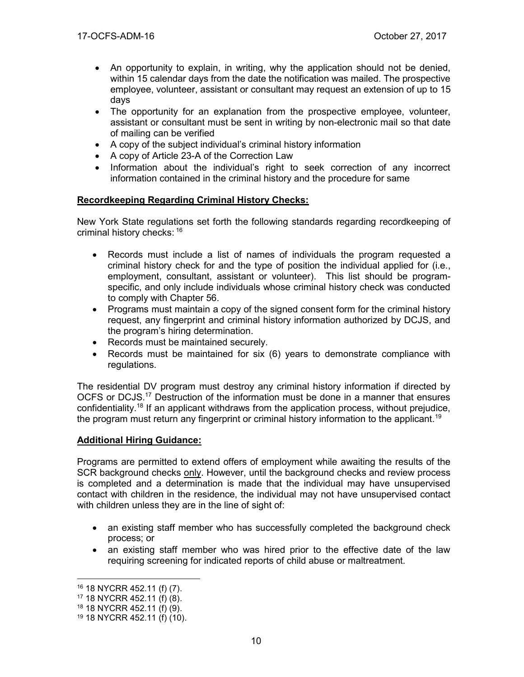- An opportunity to explain, in writing, why the application should not be denied, within 15 calendar days from the date the notification was mailed. The prospective employee, volunteer, assistant or consultant may request an extension of up to 15 days
- The opportunity for an explanation from the prospective employee, volunteer, assistant or consultant must be sent in writing by non-electronic mail so that date of mailing can be verified
- A copy of the subject individual's criminal history information
- A copy of Article 23-A of the Correction Law
- Information about the individual's right to seek correction of any incorrect information contained in the criminal history and the procedure for same

# **Recordkeeping Regarding Criminal History Checks:**

New York State regulations set forth the following standards regarding recordkeeping of criminal history checks: 16

- Records must include a list of names of individuals the program requested a criminal history check for and the type of position the individual applied for (i.e., employment, consultant, assistant or volunteer). This list should be programspecific, and only include individuals whose criminal history check was conducted to comply with Chapter 56.
- Programs must maintain a copy of the signed consent form for the criminal history request, any fingerprint and criminal history information authorized by DCJS, and the program's hiring determination.
- Records must be maintained securely.
- Records must be maintained for six (6) years to demonstrate compliance with regulations.

The residential DV program must destroy any criminal history information if directed by OCFS or DCJS.<sup>17</sup> Destruction of the information must be done in a manner that ensures confidentiality.<sup>18</sup> If an applicant withdraws from the application process, without prejudice, the program must return any fingerprint or criminal history information to the applicant.<sup>19</sup>

## **Additional Hiring Guidance:**

Programs are permitted to extend offers of employment while awaiting the results of the SCR background checks only. However, until the background checks and review process is completed and a determination is made that the individual may have unsupervised contact with children in the residence, the individual may not have unsupervised contact with children unless they are in the line of sight of:

- an existing staff member who has successfully completed the background check process; or
- an existing staff member who was hired prior to the effective date of the law requiring screening for indicated reports of child abuse or maltreatment.

<sup>16</sup> 18 NYCRR 452.11 (f) (7).

<sup>17</sup> 18 NYCRR 452.11 (f) (8).

<sup>18</sup> 18 NYCRR 452.11 (f) (9).

<sup>19</sup> 18 NYCRR 452.11 (f) (10).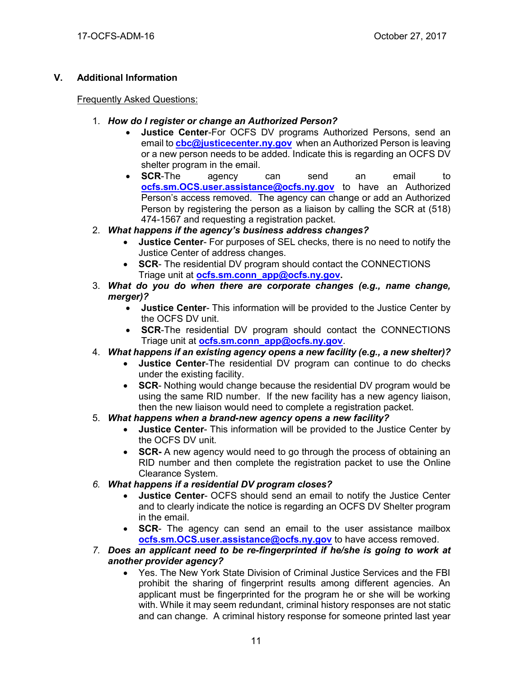# **V. Additional Information**

## Frequently Asked Questions:

- 1. *How do I register or change an Authorized Person?*
	- **Justice Center**-For OCFS DV programs Authorized Persons, send an email to **[cbc@justicecenter.ny.gov](mailto:cbc@justicecenter.ny.gov)** when an Authorized Person is leaving or a new person needs to be added. Indicate this is regarding an OCFS DV shelter program in the email.
	- **SCR**-The agency can send an email to **[ocfs.sm.OCS.user.assistance@ocfs.ny.gov](mailto:ocfs.sm.OCS.user.assistance@ocfs.ny.gov)** to have an Authorized Person's access removed. The agency can change or add an Authorized Person by registering the person as a liaison by calling the SCR at (518) 474-1567 and requesting a registration packet.
- 2. *What happens if the agency's business address changes?*
	- **Justice Center** For purposes of SEL checks, there is no need to notify the Justice Center of address changes.
	- **SCR-** The residential DV program should contact the CONNECTIONS Triage unit at **[ocfs.sm.conn\\_app@ocfs.ny.gov.](mailto:ocfs.sm.conn_app@ocfs.ny.gov)**
- 3. *What do you do when there are corporate changes (e.g., name change, merger)?*
	- **Justice Center** This information will be provided to the Justice Center by the OCFS DV unit.
	- **SCR**-The residential DV program should contact the CONNECTIONS Triage unit at **[ocfs.sm.conn\\_app@ocfs.ny.gov](mailto:ocfs.sm.conn_app@ocfs.ny.gov)**.
- 4. *What happens if an existing agency opens a new facility (e.g., a new shelter)?*
	- **Justice Center**-The residential DV program can continue to do checks under the existing facility.
	- **SCR** Nothing would change because the residential DV program would be using the same RID number. If the new facility has a new agency liaison, then the new liaison would need to complete a registration packet.
- 5. *What happens when a brand-new agency opens a new facility?*
	- **Justice Center** This information will be provided to the Justice Center by the OCFS DV unit.
	- **SCR-** A new agency would need to go through the process of obtaining an RID number and then complete the registration packet to use the Online Clearance System.
- *6. What happens if a residential DV program closes?*
	- **Justice Center** OCFS should send an email to notify the Justice Center and to clearly indicate the notice is regarding an OCFS DV Shelter program in the email.
	- **SCR** The agency can send an email to the user assistance mailbox **[ocfs.sm.OCS.user.assistance@ocfs.ny.gov](mailto:ocfs.sm.OCS.user.assistance@ocfs.ny.gov)** to have access removed.
- *7. Does an applicant need to be re-fingerprinted if he/she is going to work at another provider agency?*
	- Yes. The New York State Division of Criminal Justice Services and the FBI prohibit the sharing of fingerprint results among different agencies. An applicant must be fingerprinted for the program he or she will be working with. While it may seem redundant, criminal history responses are not static and can change. A criminal history response for someone printed last year